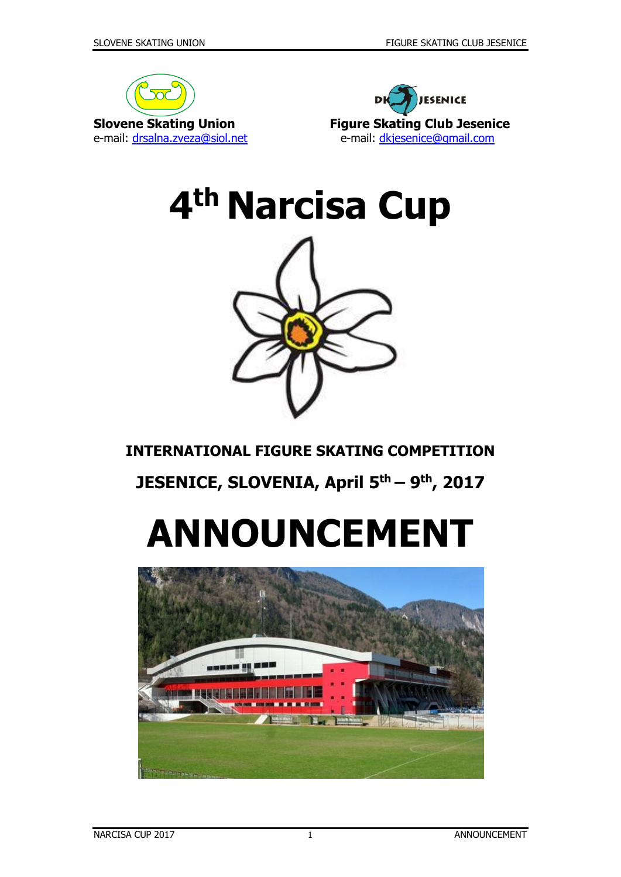







### **INTERNATIONAL FIGURE SKATING COMPETITION**

## **JESENICE, SLOVENIA, April 5 th – 9 th, 2017**

# **ANNOUNCEMENT**

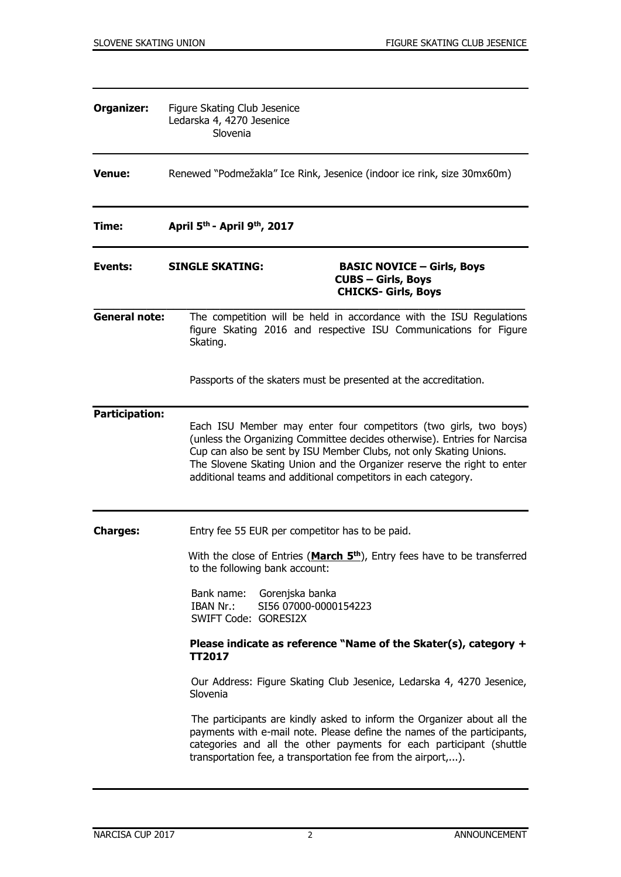| Organizer:                                                         | Figure Skating Club Jesenice<br>Ledarska 4, 4270 Jesenice<br>Slovenia                                                   |                                                                                                                                                                                                                                                                                                                                                               |  |
|--------------------------------------------------------------------|-------------------------------------------------------------------------------------------------------------------------|---------------------------------------------------------------------------------------------------------------------------------------------------------------------------------------------------------------------------------------------------------------------------------------------------------------------------------------------------------------|--|
| <b>Venue:</b>                                                      | Renewed "Podmežakla" Ice Rink, Jesenice (indoor ice rink, size 30mx60m)                                                 |                                                                                                                                                                                                                                                                                                                                                               |  |
| Time:                                                              | April 5 <sup>th</sup> - April 9 <sup>th</sup> , 2017                                                                    |                                                                                                                                                                                                                                                                                                                                                               |  |
| Events:                                                            | <b>SINGLE SKATING:</b>                                                                                                  | <b>BASIC NOVICE - Girls, Boys</b><br><b>CUBS - Girls, Boys</b><br><b>CHICKS- Girls, Boys</b>                                                                                                                                                                                                                                                                  |  |
| <b>General note:</b>                                               | Skating.                                                                                                                | The competition will be held in accordance with the ISU Regulations<br>figure Skating 2016 and respective ISU Communications for Figure                                                                                                                                                                                                                       |  |
|                                                                    |                                                                                                                         | Passports of the skaters must be presented at the accreditation.                                                                                                                                                                                                                                                                                              |  |
| <b>Participation:</b>                                              |                                                                                                                         | Each ISU Member may enter four competitors (two girls, two boys)<br>(unless the Organizing Committee decides otherwise). Entries for Narcisa<br>Cup can also be sent by ISU Member Clubs, not only Skating Unions.<br>The Slovene Skating Union and the Organizer reserve the right to enter<br>additional teams and additional competitors in each category. |  |
| Entry fee 55 EUR per competitor has to be paid.<br><b>Charges:</b> |                                                                                                                         |                                                                                                                                                                                                                                                                                                                                                               |  |
|                                                                    | With the close of Entries (March 5 <sup>th</sup> ), Entry fees have to be transferred<br>to the following bank account: |                                                                                                                                                                                                                                                                                                                                                               |  |
|                                                                    | Bank name:<br>Gorenjska banka<br>IBAN Nr.:<br>SWIFT Code: GORESI2X                                                      | SI56 07000-0000154223                                                                                                                                                                                                                                                                                                                                         |  |
|                                                                    | <b>TT2017</b>                                                                                                           | Please indicate as reference "Name of the Skater(s), category $+$                                                                                                                                                                                                                                                                                             |  |
|                                                                    | Slovenia                                                                                                                | Our Address: Figure Skating Club Jesenice, Ledarska 4, 4270 Jesenice,                                                                                                                                                                                                                                                                                         |  |
|                                                                    |                                                                                                                         | The participants are kindly asked to inform the Organizer about all the<br>payments with e-mail note. Please define the names of the participants,<br>categories and all the other payments for each participant (shuttle<br>transportation fee, a transportation fee from the airport,).                                                                     |  |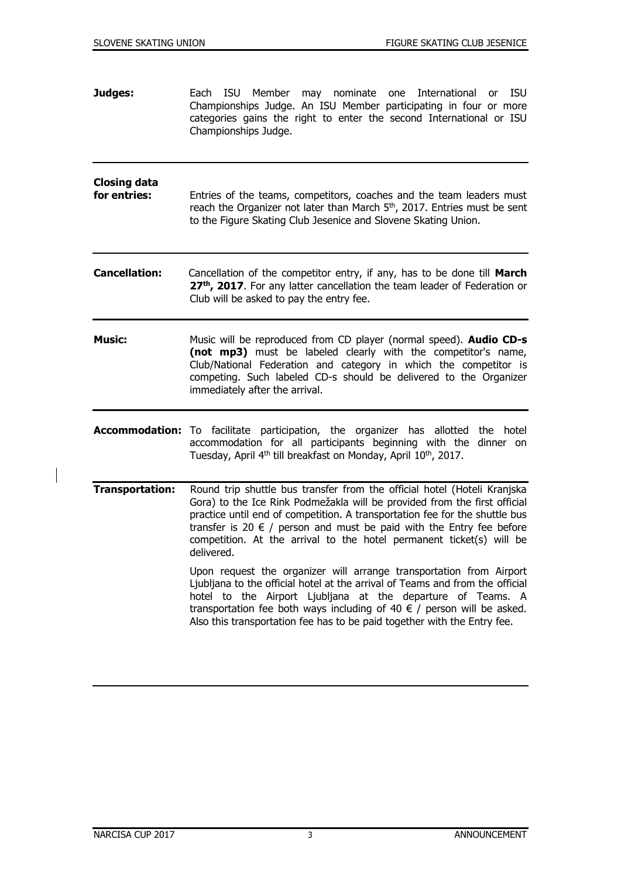**Judges:** Each ISU Member may nominate one International or ISU Championships Judge. An ISU Member participating in four or more categories gains the right to enter the second International or ISU Championships Judge. **Closing data for entries:** Entries of the teams, competitors, coaches and the team leaders must reach the Organizer not later than March 5<sup>th</sup>, 2017. Entries must be sent to the Figure Skating Club Jesenice and Slovene Skating Union. **Cancellation:** Cancellation of the competitor entry, if any, has to be done till **March 27th , 2017**. For any latter cancellation the team leader of Federation or Club will be asked to pay the entry fee. **Music:** Music will be reproduced from CD player (normal speed). **Audio CD-s (not mp3)** must be labeled clearly with the competitor's name, Club/National Federation and category in which the competitor is competing. Such labeled CD-s should be delivered to the Organizer immediately after the arrival. **Accommodation:** To facilitate participation, the organizer has allotted the hotel accommodation for all participants beginning with the dinner on Tuesday, April 4<sup>th</sup> till breakfast on Monday, April 10<sup>th</sup>, 2017. **Transportation:** Round trip shuttle bus transfer from the official hotel (Hoteli Kranjska Gora) to the Ice Rink Podmežakla will be provided from the first official practice until end of competition. A transportation fee for the shuttle bus transfer is 20  $\epsilon$  / person and must be paid with the Entry fee before competition. At the arrival to the hotel permanent ticket(s) will be delivered. Upon request the organizer will arrange transportation from Airport Ljubljana to the official hotel at the arrival of Teams and from the official hotel to the Airport Ljubljana at the departure of Teams. A transportation fee both ways including of 40  $\epsilon$  / person will be asked. Also this transportation fee has to be paid together with the Entry fee.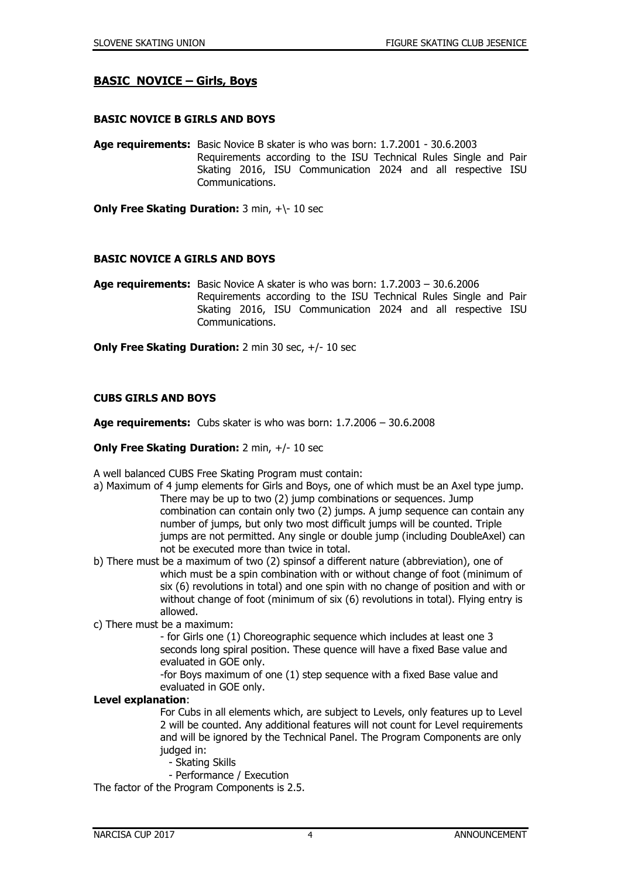#### **BASIC NOVICE – Girls, Boys**

#### **BASIC NOVICE B GIRLS AND BOYS**

**Age requirements:** Basic Novice B skater is who was born: 1.7.2001 - 30.6.2003 Requirements according to the ISU Technical Rules Single and Pair Skating 2016, ISU Communication 2024 and all respective ISU Communications.

**Only Free Skating Duration:** 3 min, +\- 10 sec

#### **BASIC NOVICE A GIRLS AND BOYS**

**Age requirements:** Basic Novice A skater is who was born: 1.7.2003 – 30.6.2006 Requirements according to the ISU Technical Rules Single and Pair Skating 2016, ISU Communication 2024 and all respective ISU Communications.

**Only Free Skating Duration:** 2 min 30 sec, +/- 10 sec

#### **CUBS GIRLS AND BOYS**

**Age requirements:** Cubs skater is who was born: 1.7.2006 – 30.6.2008

#### **Only Free Skating Duration:** 2 min, +/- 10 sec

A well balanced CUBS Free Skating Program must contain:

- a) Maximum of 4 jump elements for Girls and Boys, one of which must be an Axel type jump. There may be up to two (2) jump combinations or sequences. Jump combination can contain only two (2) jumps. A jump sequence can contain any number of jumps, but only two most difficult jumps will be counted. Triple jumps are not permitted. Any single or double jump (including DoubleAxel) can not be executed more than twice in total.
- b) There must be a maximum of two (2) spinsof a different nature (abbreviation), one of which must be a spin combination with or without change of foot (minimum of six (6) revolutions in total) and one spin with no change of position and with or without change of foot (minimum of six (6) revolutions in total). Flying entry is allowed.
- c) There must be a maximum:

- for Girls one (1) Choreographic sequence which includes at least one 3 seconds long spiral position. These quence will have a fixed Base value and evaluated in GOE only.

-for Boys maximum of one (1) step sequence with a fixed Base value and evaluated in GOE only.

#### **Level explanation**:

For Cubs in all elements which, are subject to Levels, only features up to Level 2 will be counted. Any additional features will not count for Level requirements and will be ignored by the Technical Panel. The Program Components are only judged in:

- Skating Skills
- Performance / Execution

The factor of the Program Components is 2.5.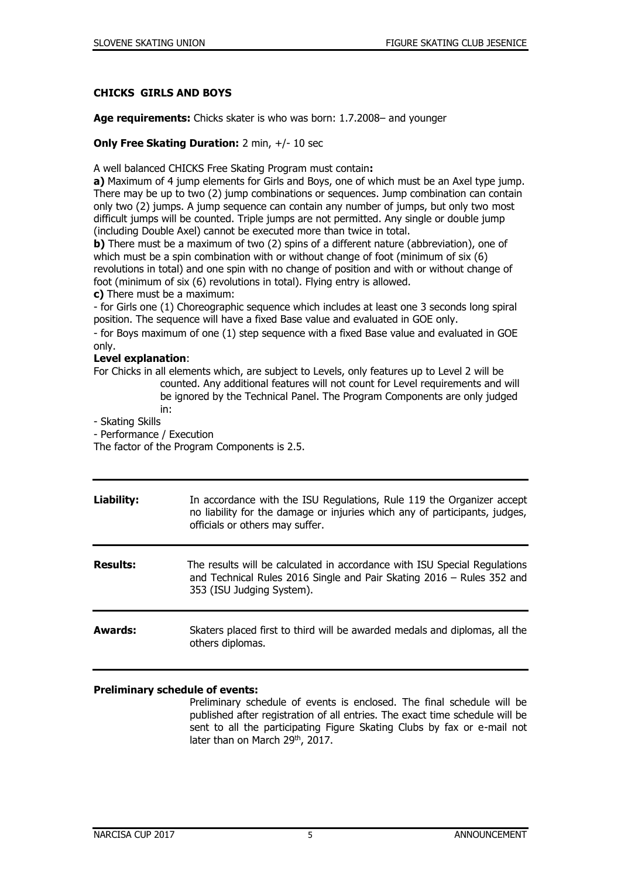#### **CHICKS GIRLS AND BOYS**

**Age requirements:** Chicks skater is who was born: 1.7.2008– and younger

#### **Only Free Skating Duration:** 2 min, +/- 10 sec

A well balanced CHICKS Free Skating Program must contain**:** 

**a)** Maximum of 4 jump elements for Girls and Boys, one of which must be an Axel type jump. There may be up to two (2) jump combinations or sequences. Jump combination can contain only two (2) jumps. A jump sequence can contain any number of jumps, but only two most difficult jumps will be counted. Triple jumps are not permitted. Any single or double jump (including Double Axel) cannot be executed more than twice in total.

**b)** There must be a maximum of two (2) spins of a different nature (abbreviation), one of which must be a spin combination with or without change of foot (minimum of six (6) revolutions in total) and one spin with no change of position and with or without change of foot (minimum of six (6) revolutions in total). Flying entry is allowed.

**c)** There must be a maximum:

- for Girls one (1) Choreographic sequence which includes at least one 3 seconds long spiral position. The sequence will have a fixed Base value and evaluated in GOE only.

- for Boys maximum of one (1) step sequence with a fixed Base value and evaluated in GOE only.

#### **Level explanation**:

For Chicks in all elements which, are subject to Levels, only features up to Level 2 will be counted. Any additional features will not count for Level requirements and will be ignored by the Technical Panel. The Program Components are only judged in:

- Skating Skills

- Performance / Execution

The factor of the Program Components is 2.5.

| Liability:      | In accordance with the ISU Regulations, Rule 119 the Organizer accept<br>no liability for the damage or injuries which any of participants, judges,<br>officials or others may suffer. |
|-----------------|----------------------------------------------------------------------------------------------------------------------------------------------------------------------------------------|
| <b>Results:</b> | The results will be calculated in accordance with ISU Special Regulations<br>and Technical Rules 2016 Single and Pair Skating 2016 - Rules 352 and<br>353 (ISU Judging System).        |
| Awards:         | Skaters placed first to third will be awarded medals and diplomas, all the<br>others diplomas.                                                                                         |

#### **Preliminary schedule of events:**

Preliminary schedule of events is enclosed. The final schedule will be published after registration of all entries. The exact time schedule will be sent to all the participating Figure Skating Clubs by fax or e-mail not later than on March 29<sup>th</sup>, 2017.